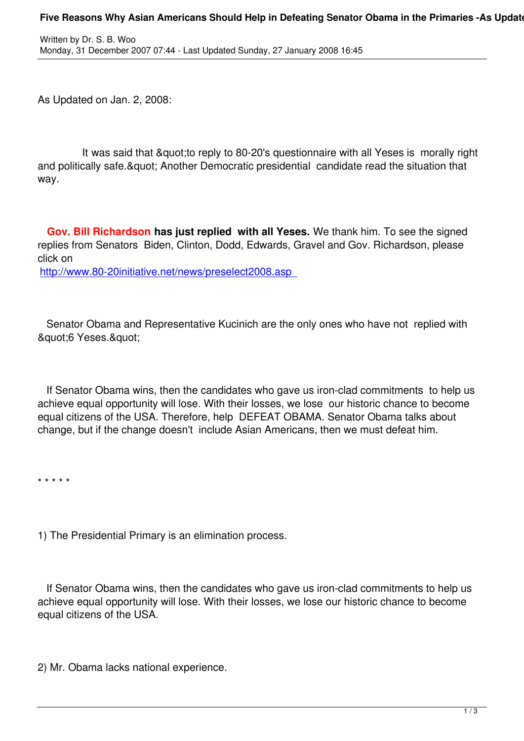As Updated on Jan. 2, 2008:

Written by Dr. S. B. Wood, and the Dr. S. Wood, and the Dr. S. Wood, and the Dr. S. S. Wood, and the Dr. S. Wood, and

It was said that & quot; to reply to 80-20's questionnaire with all Yeses is morally right and politically safe. & quot: Another Democratic presidential candidate read the situation that way.

 **Gov. Bill Richardson has just replied with all Yeses.** We thank him. To see the signed replies from Senators Biden, Clinton, Dodd, Edwards, Gravel and Gov. Richardson, please click on

http://www.80-20initiative.net/news/preselect2008.asp

 [Senator Obama and Representative Kucinich are the o](http://www.80-20initiative.net/news/preselect2008.asp)nly ones who have not replied with & quot; 6 Yeses. & quot;

 If Senator Obama wins, then the candidates who gave us iron-clad commitments to help us achieve equal opportunity will lose. With their losses, we lose our historic chance to become equal citizens of the USA. Therefore, help DEFEAT OBAMA. Senator Obama talks about change, but if the change doesn't include Asian Americans, then we must defeat him.

\* \* \* \* \*

1) The Presidential Primary is an elimination process.

 If Senator Obama wins, then the candidates who gave us iron-clad commitments to help us achieve equal opportunity will lose. With their losses, we lose our historic chance to become equal citizens of the USA.

2) Mr. Obama lacks national experience.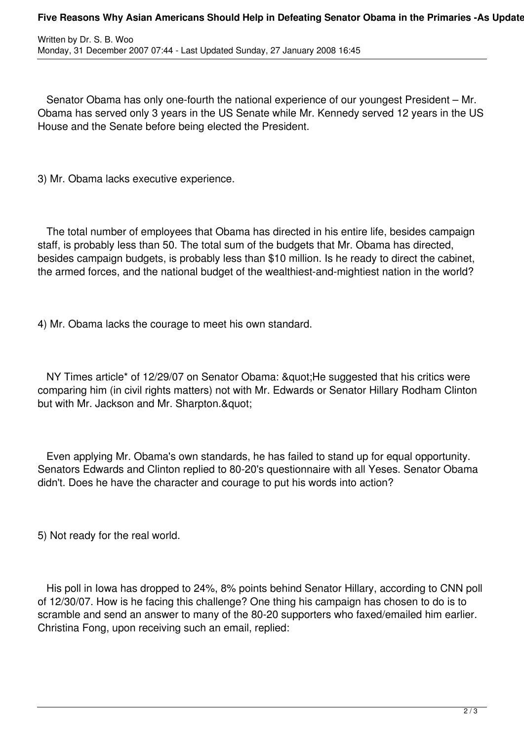Senator Obama has only one-fourth the national experience of our youngest President – Mr. Obama has served only 3 years in the US Senate while Mr. Kennedy served 12 years in the US House and the Senate before being elected the President.

3) Mr. Obama lacks executive experience.

 The total number of employees that Obama has directed in his entire life, besides campaign staff, is probably less than 50. The total sum of the budgets that Mr. Obama has directed, besides campaign budgets, is probably less than \$10 million. Is he ready to direct the cabinet, the armed forces, and the national budget of the wealthiest-and-mightiest nation in the world?

4) Mr. Obama lacks the courage to meet his own standard.

NY Times article\* of 12/29/07 on Senator Obama: " He suggested that his critics were comparing him (in civil rights matters) not with Mr. Edwards or Senator Hillary Rodham Clinton but with Mr. Jackson and Mr. Sharpton."

 Even applying Mr. Obama's own standards, he has failed to stand up for equal opportunity. Senators Edwards and Clinton replied to 80-20's questionnaire with all Yeses. Senator Obama didn't. Does he have the character and courage to put his words into action?

5) Not ready for the real world.

 His poll in Iowa has dropped to 24%, 8% points behind Senator Hillary, according to CNN poll of 12/30/07. How is he facing this challenge? One thing his campaign has chosen to do is to scramble and send an answer to many of the 80-20 supporters who faxed/emailed him earlier. Christina Fong, upon receiving such an email, replied: